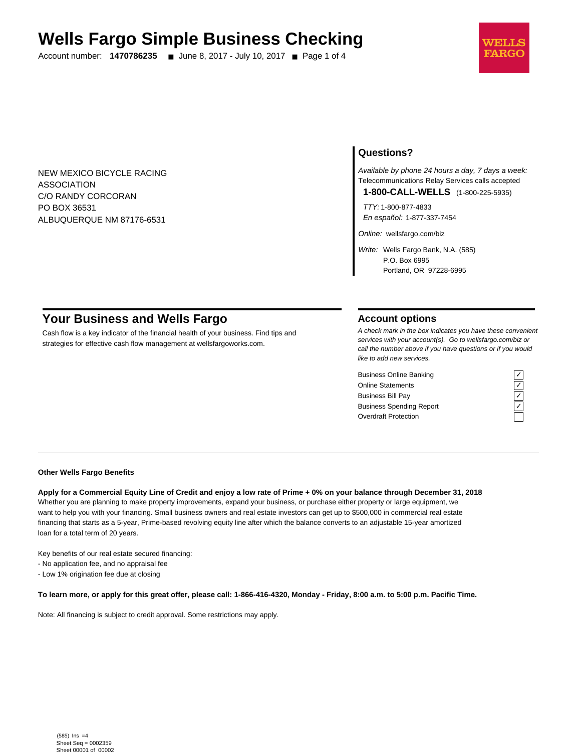# **Wells Fargo Simple Business Checking**

Account number: **1470786235** ■ June 8, 2017 - July 10, 2017 ■ Page 1 of 4



NEW MEXICO BICYCLE RACING ASSOCIATION C/O RANDY CORCORAN PO BOX 36531 ALBUQUERQUE NM 87176-6531

## **Questions?**

Available by phone 24 hours a day, 7 days a week: Telecommunications Relay Services calls accepted

**1-800-CALL-WELLS** (1-800-225-5935)

TTY: 1-800-877-4833 En español: 1-877-337-7454

Online: wellsfargo.com/biz

Write: Wells Fargo Bank, N.A. (585) P.O. Box 6995 Portland, OR 97228-6995

# **Your Business and Wells Fargo**

Cash flow is a key indicator of the financial health of your business. Find tips and strategies for effective cash flow management at wellsfargoworks.com.

## **Account options**

A check mark in the box indicates you have these convenient services with your account(s). Go to wellsfargo.com/biz or call the number above if you have questions or if you would like to add new services.

Business Online Banking<br>
Online Statements<br>
Business Bill Pay<br>
Business Spending Report<br>
Cygridder Protection<br>
Cygridder Protection Online Statements ✓ Business Bill Pay Business Spending Report Overdraft Protection



#### **Other Wells Fargo Benefits**

**Apply for a Commercial Equity Line of Credit and enjoy a low rate of Prime + 0% on your balance through December 31, 2018** Whether you are planning to make property improvements, expand your business, or purchase either property or large equipment, we want to help you with your financing. Small business owners and real estate investors can get up to \$500,000 in commercial real estate financing that starts as a 5-year, Prime-based revolving equity line after which the balance converts to an adjustable 15-year amortized loan for a total term of 20 years.

Key benefits of our real estate secured financing:

- No application fee, and no appraisal fee

- Low 1% origination fee due at closing

**To learn more, or apply for this great offer, please call: 1-866-416-4320, Monday - Friday, 8:00 a.m. to 5:00 p.m. Pacific Time.**

Note: All financing is subject to credit approval. Some restrictions may apply.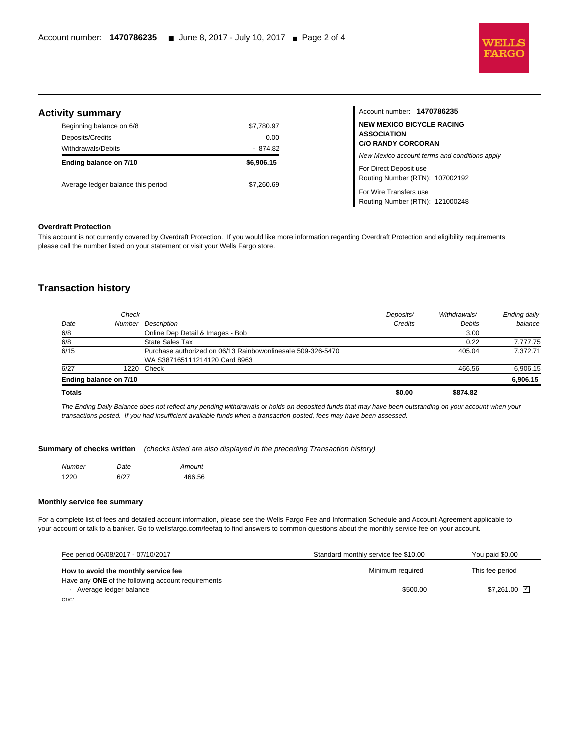

## **Activity summary**

l

| \$7,780.97 |
|------------|
| 0.00       |
| $-874.82$  |
| \$6,906.15 |
| \$7.260.69 |
|            |

## Account number: **1470786235 NEW MEXICO BICYCLE RACING ASSOCIATION C/O RANDY CORCORAN** New Mexico account terms and conditions apply For Direct Deposit use Routing Number (RTN): 107002192 For Wire Transfers use Routing Number (RTN): 121000248

## **Overdraft Protection**

This account is not currently covered by Overdraft Protection. If you would like more information regarding Overdraft Protection and eligibility requirements please call the number listed on your statement or visit your Wells Fargo store.

## **Transaction history**

|      | Ending balance on 7/10 |                                                             |           |              | 6,906.15     |
|------|------------------------|-------------------------------------------------------------|-----------|--------------|--------------|
| 6/27 | 1220                   | Check                                                       |           | 466.56       | 6,906.15     |
|      |                        | WA S387165111214120 Card 8963                               |           |              |              |
| 6/15 |                        | Purchase authorized on 06/13 Rainbowonlinesale 509-326-5470 |           | 405.04       | 7.372.71     |
| 6/8  |                        | <b>State Sales Tax</b>                                      |           | 0.22         | 7,777.75     |
| 6/8  |                        | Online Dep Detail & Images - Bob                            |           | 3.00         |              |
| Date | Number                 | Description                                                 | Credits   | Debits       | balance      |
|      | Check                  |                                                             | Deposits/ | Withdrawals/ | Ending daily |

The Ending Daily Balance does not reflect any pending withdrawals or holds on deposited funds that may have been outstanding on your account when your transactions posted. If you had insufficient available funds when a transaction posted, fees may have been assessed.

#### **Summary of checks written** (checks listed are also displayed in the preceding Transaction history)

| Number | Date | Amount |
|--------|------|--------|
| 1220   | 6/27 | 466.56 |

#### **Monthly service fee summary**

For a complete list of fees and detailed account information, please see the Wells Fargo Fee and Information Schedule and Account Agreement applicable to your account or talk to a banker. Go to wellsfargo.com/feefaq to find answers to common questions about the monthly service fee on your account.

| Fee period 06/08/2017 - 07/10/2017                 | Standard monthly service fee \$10.00 | You paid \$0.00              |
|----------------------------------------------------|--------------------------------------|------------------------------|
| How to avoid the monthly service fee               | Minimum required                     | This fee period              |
| Have any ONE of the following account requirements |                                      |                              |
| Average ledger balance                             | \$500.00                             | $$7.261.00$ $\triangleright$ |
| C.1/C.1                                            |                                      |                              |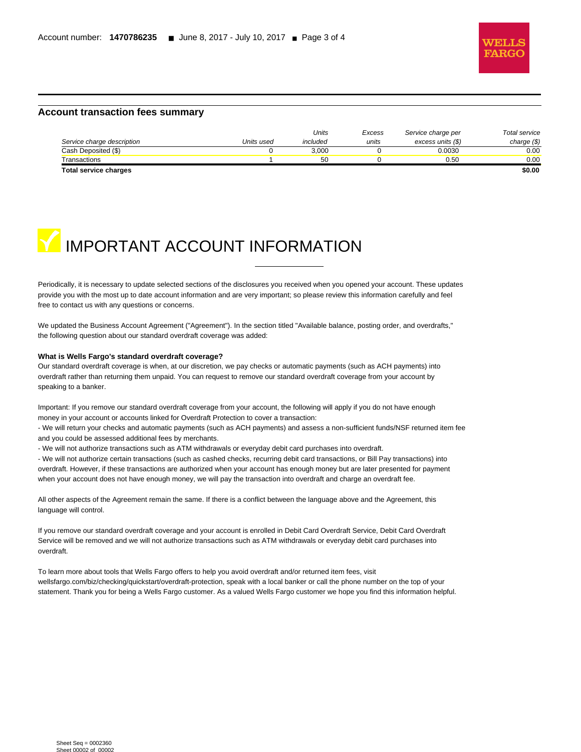

#### **Account transaction fees summary**

|                            |            | Units    | Excess | Service charge per | Total service |
|----------------------------|------------|----------|--------|--------------------|---------------|
| Service charge description | Units used | included | units  | excess units (\$)  | charge $(\$)$ |
| Cash Deposited (\$)        |            | 3.000    |        | 0.0030             | 0.00          |
| Transactions               |            | 50       |        | 0.50               | 0.00          |
| Total service charges      |            |          |        |                    | \$0.00        |

l



Periodically, it is necessary to update selected sections of the disclosures you received when you opened your account. These updates provide you with the most up to date account information and are very important; so please review this information carefully and feel free to contact us with any questions or concerns.

We updated the Business Account Agreement ("Agreement"). In the section titled "Available balance, posting order, and overdrafts," the following question about our standard overdraft coverage was added:

#### **What is Wells Fargo's standard overdraft coverage?**

Our standard overdraft coverage is when, at our discretion, we pay checks or automatic payments (such as ACH payments) into overdraft rather than returning them unpaid. You can request to remove our standard overdraft coverage from your account by speaking to a banker.

Important: If you remove our standard overdraft coverage from your account, the following will apply if you do not have enough money in your account or accounts linked for Overdraft Protection to cover a transaction:

- We will return your checks and automatic payments (such as ACH payments) and assess a non-sufficient funds/NSF returned item fee and you could be assessed additional fees by merchants.

- We will not authorize transactions such as ATM withdrawals or everyday debit card purchases into overdraft.

- We will not authorize certain transactions (such as cashed checks, recurring debit card transactions, or Bill Pay transactions) into overdraft. However, if these transactions are authorized when your account has enough money but are later presented for payment when your account does not have enough money, we will pay the transaction into overdraft and charge an overdraft fee.

All other aspects of the Agreement remain the same. If there is a conflict between the language above and the Agreement, this language will control.

If you remove our standard overdraft coverage and your account is enrolled in Debit Card Overdraft Service, Debit Card Overdraft Service will be removed and we will not authorize transactions such as ATM withdrawals or everyday debit card purchases into overdraft.

To learn more about tools that Wells Fargo offers to help you avoid overdraft and/or returned item fees, visit wellsfargo.com/biz/checking/quickstart/overdraft-protection, speak with a local banker or call the phone number on the top of your statement. Thank you for being a Wells Fargo customer. As a valued Wells Fargo customer we hope you find this information helpful.